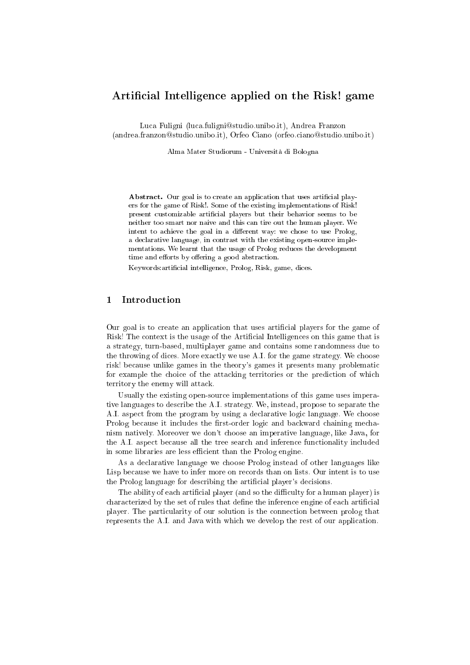# Artificial Intelligence applied on the Risk! game

Luca Fuligni (luca.fuligni@studio.unibo.it), Andrea Franzon (andrea.franzon@studio.unibo.it), Orfeo Ciano (orfeo.ciano@studio.unibo.it)

Alma Mater Studiorum - Università di Bologna

Abstract. Our goal is to create an application that uses artificial players for the game of Risk!. Some of the existing implementations of Risk! present customizable artificial players but their behavior seems to be neither too smart nor naive and this an tire out the human player. We intent to achieve the goal in a different way: we chose to use Prolog, a declarative language, in contrast with the existing open-source implementations. We learnt that the usage of Prolog redu
es the development time and efforts by offering a good abstraction.

Keywords: artificial intelligence, Prolog, Risk, game, dices.

### **Introduction**  $\mathbf{1}$

Our goal is to create an application that uses artificial players for the game of Risk! The context is the usage of the Artificial Intelligences on this game that is a strategy, turn-based, multiplayer game and ontains some randomness due to the throwing of dices. More exactly we use A.I. for the game strategy. We choose risk! be
ause unlike games in the theory's games it presents many problemati for example the choice of the attacking territories or the prediction of which territory the enemy will atta
k.

Usually the existing open-sour
e implementations of this game uses imperative languages to des
ribe the A.I. strategy. We, instead, propose to separate the A.I. aspect from the program by using a declarative logic language. We choose Prolog because it includes the first-order logic and backward chaining mechanism natively. Moreover we don't hoose an imperative language, like Java, for the A.I. aspect because all the tree search and inference functionality included in some libraries are less efficient than the Prolog engine.

As a de
larative language we hoose Prolog instead of other languages like Lisp because we have to infer more on records than on lists. Our intent is to use the Prolog language for describing the artificial player's decisions.

The ability of each artificial player (and so the difficulty for a human player) is characterized by the set of rules that define the inference engine of each artificial player. The parti
ularity of our solution is the onne
tion between prolog that represents the A.I. and Java with whi
h we develop the rest of our appli
ation.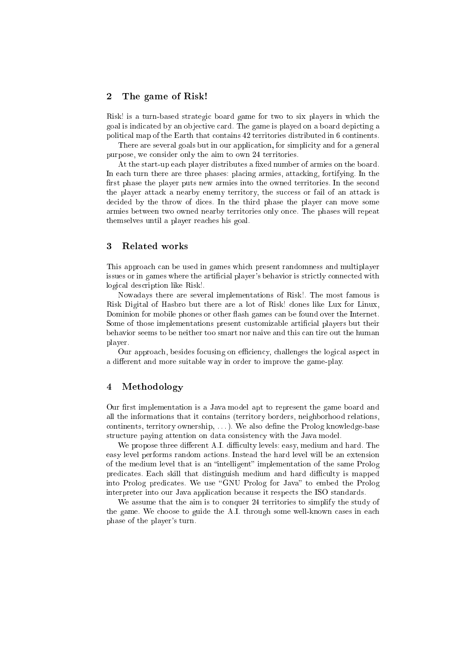### 2The game of Risk!

Risk! is a turn-based strategic board game for two to six players in which the goal is indi
ated by an ob je
tive ard. The game is played on a board depi
ting a political map of the Earth that contains 42 territories distributed in 6 continents.

There are several goals but in our application, for simplicity and for a general purpose, we consider only the aim to own 24 territories.

At the start-up each player distributes a fixed number of armies on the board. In each turn there are three phases: placing armies, attacking, fortifying. In the first phase the player puts new armies into the owned territories. In the second the player attack a nearby enemy territory, the success or fail of an attack is decided by the throw of dices. In the third phase the player can move some armies between two owned nearby territories only on
e. The phases will repeat themselves until a player rea
hes his goal.

### 3 Related works

This approach can be used in games which present randomness and multiplayer issues or in games where the artificial player's behavior is strictly connected with logi
al des
ription like Risk!.

Nowadays there are several implementations of Risk!. The most famous is Risk Digital of Hasbro but there are a lot of Risk! lones like Lux for Linux, Dominion for mobile phones or other flash games can be found over the Internet. Some of those implementations present customizable artificial players but their behavior seems to be neither too smart nor naive and this an tire out the human player.

Our approach, besides focusing on efficiency, challenges the logical aspect in a different and more suitable way in order to improve the game-play.

### 4Methodology

Our first implementation is a Java model apt to represent the game board and all the informations that it ontains (territory borders, neighborhood relations, continents, territory ownership, ...). We also define the Prolog knowledge-base structure paying attention on data consistency with the Java model.

We propose three different A.I. difficulty levels: easy, medium and hard. The easy level performs random a
tions. Instead the hard level will be an extension of the medium level that is an "intelligent" implementation of the same Prolog predicates. Each skill that distinguish medium and hard difficulty is mapped into Prolog predicates. We use "GNU Prolog for Java" to embed the Prolog interpreter into our Java application because it respects the ISO standards.

We assume that the aim is to conquer 24 territories to simplify the study of the game. We choose to guide the A.I. through some well-known cases in each phase of the player's turn.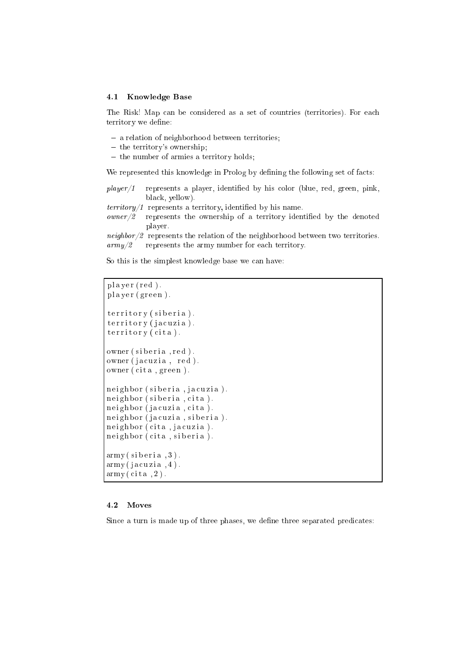## 4.1 Knowledge Base

The Risk! Map can be considered as a set of countries (territories). For each territory we define:

- a relation of neighborhood between territories;
- the territory's ownership;
- the number of armies as the armies  $\mu$  and  $\mu$

We represented this knowledge in Prolog by defining the following set of facts:

- $player/1$  represents a player, identified by his color (blue, red, green, pink, black, yellow).
- $\text{territory}/1$  represents a territory, identified by his name.
- $a \cdot \frac{w}{2}$  represents the ownership of a territory identified by the denoted player.
- neighbor/2 represents the relation of the neighborhood between two territories.  $army/2$  represents the army number for each territory.

So this is the simplest knowledge base we can have:

```
\n  <b>player (red)</b>.
player (green).
t erritory (siberia).
territory (jacuzia).
territory (cita).owner (siberia, red).
owner (jacuzia, red).
owner (cita, green).
neighbor (siberia, jacuzia).
neighbor (siberia, cita).
neighbor (jacuzia, cita).
neighbor (jacuzia, siberia).
neighbor (cita, jacuzia).
neighbor (cita, siberia).
army (siberia, 3).
army (jacuzia, 4).army (cita, 2).
```
## **2.2 Move 2.2 Move 2.2 Move 2.2 Move 2.2 Move 2.2 Move 2.2 Move 2.2 Move 2.2 Move 2.2 Move 2.2 Move 2.2 Move 2.**

Since a turn is made up of three phases, we define three separated predicates: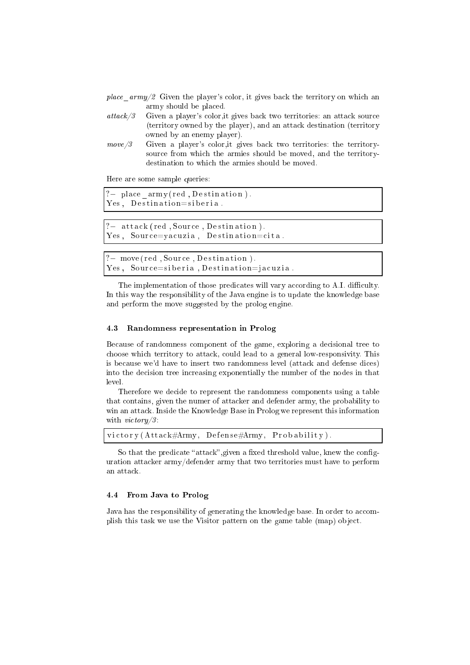- place  $army/2$  Given the player's color, it gives back the territory on which an army should be pla
ed.
- attack/3 Given a player's color, it gives back two territories: an attack source (territory owned by the player), and an atta
k destination (territory owned by an enemy player).
- $move/3$  Given a player's color, it gives back two territories: the territorysource from which the armies should be moved, and the territorydestination to which the armies should be moved.

Here are some sample queries:

?- place\_army(red, Destination). Yes, Destination=siberia.

?- attack (red, Source, Destination). Yes, Source=yacuzia, Destination=cita.

? – move (red, Source, Destination). Yes, Source=siberia, Destination=jacuzia.

The implementation of those predicates will vary according to A.I. difficulty. In this way the responsibility of the Java engine is to update the knowledge base and perform the move suggested by the prolog engine.

### 4.3Randomness representation in Prolog

Because of randomness component of the game, exploring a decisional tree to choose which territory to attack, could lead to a general low-responsivity. This is because we'd have to insert two randomness level (attack and defense dices) into the decision tree increasing exponentially the number of the nodes in that level.

Therefore we decide to represent the randomness components using a table that contains, given the numer of attacker and defender army, the probability to win an attack. Inside the Knowledge Base in Prolog we represent this information with  $victory/3$ :

victory (Attack#Army, Defense#Army, Probability).

So that the predicate "attack", given a fixed threshold value, knew the configuration atta
ker army/defender army that two territories must have to perform an atta
k.

#### 4.4From Java to Prolog

Java has the responsibility of generating the knowledge base. In order to accomplish this task we use the Visitor pattern on the game table (map) object.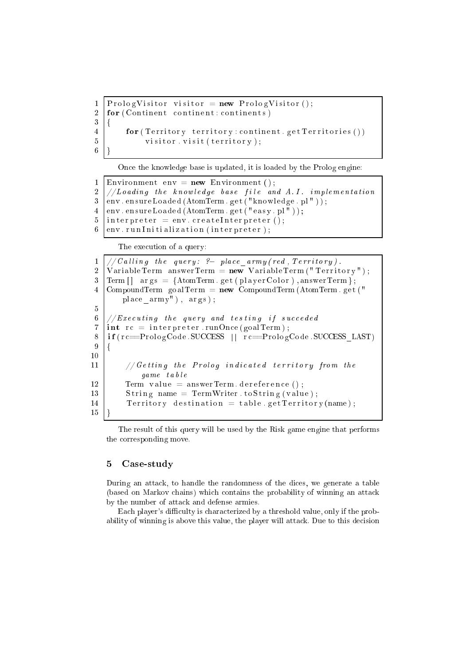```
P rolog V is it or r = new P rolog V is it or ();
\mathbf{1}2 \mid for (Continent continent: continents)
3 \mid \{4 for (Territory territory: continent. get Territories ())
5 visitor. visit (territory);
\overline{6}
```
On
e the knowledge base is updated, it is loaded by the Prolog engine:

```
Environment env = new Environment ();
\mathbf{1}\overline{2}1/1 boading the knowledge base file and A.I. implementation
3 \text{ } |env. ensureLoaded (AtomTerm. get ("knowledge. pl"));
4 \text{ } | env. ensureLoaded (AtomTerm. get ("easy. pl"));
5 interpreter = env. createInterpreter();
6 | env. run Initialization (interpreter);
```
The execution of a query:

 $1 \mid // Calling$  the query: ?- place\_army(red, Territory). 2 | VariableTerm answerTerm =  $new$  VariableTerm ("Territory");  $3 \text{ term} [] \text{ args } = \{\text{AtomTerm}.\text{ get} (\text{playerColor})\text{, answerTerm}\};$  $4$  CompoundTerm goalTerm = new CompoundTerm (AtomTerm . get (") place  $\{army"$ ),  $args)$ ; 5  $6$  //Executing the query and testing if succeded  $7 \text{ int } rc =$  interpreter runOnce(goalTerm); 8 if (rc==PrologCode.SUCCESS | | rc==PrologCode.SUCCESS LAST) 9  $\{$  $10$  $11$  // Getting the Prolog indicated territory from the game t a b l e Term value =  $answerTerm$ . dereference(); 12  $13$  String name = TermWriter to String (value); 14 Territory destination = table.get Territory (name); 15 15 }

The result of this query will be used by the Risk game engine that performs the orresponding move.

### $\overline{5}$ Case-study

During an attack, to handle the randomness of the dices, we generate a table (based on Markov chains) which contains the probability of winning an attack by the number of atta
k and defense armies.

Each player's difficulty is characterized by a threshold value, only if the probability of winning is above this value, the player will attack. Due to this decision